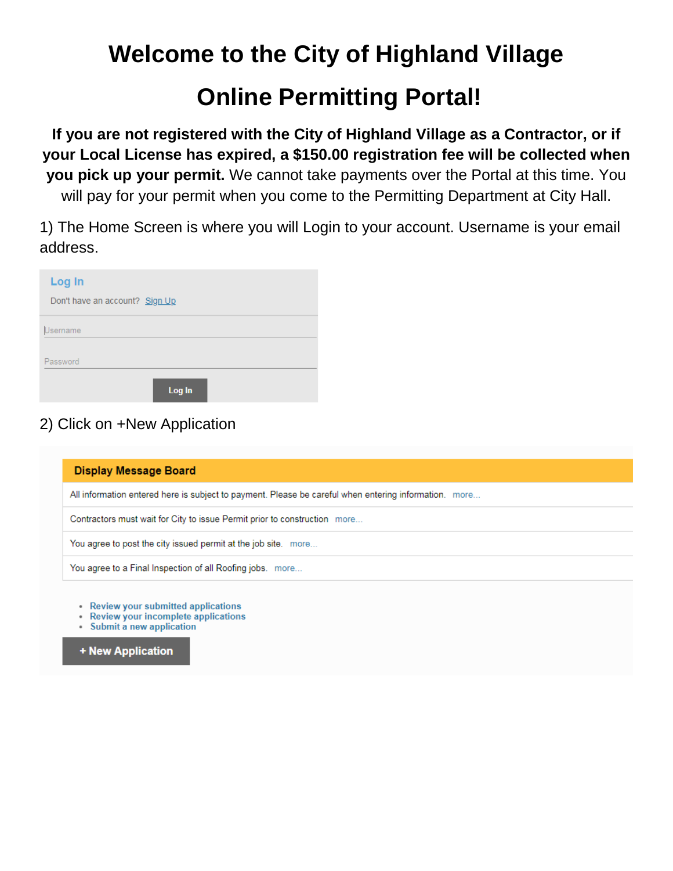## **Welcome to the City of Highland Village**

## **Online Permitting Portal!**

**If you are not registered with the City of Highland Village as a Contractor, or if your Local License has expired, a \$150.00 registration fee will be collected when you pick up your permit.** We cannot take payments over the Portal at this time. You will pay for your permit when you come to the Permitting Department at City Hall.

1) The Home Screen is where you will Login to your account. Username is your email address.

| Log In                         |
|--------------------------------|
| Don't have an account? Sign Up |
| Username                       |
| Password                       |
| Log In                         |

## 2) Click on +New Application

| <b>Display Message Board</b>                                                                          |
|-------------------------------------------------------------------------------------------------------|
| All information entered here is subject to payment. Please be careful when entering information. more |
| Contractors must wait for City to issue Permit prior to construction more                             |
| You agree to post the city issued permit at the job site. more                                        |
| You agree to a Final Inspection of all Roofing jobs. more                                             |
| • Review your submitted applications                                                                  |

- Review your incomplete applications
- Submit a new application

+ New Application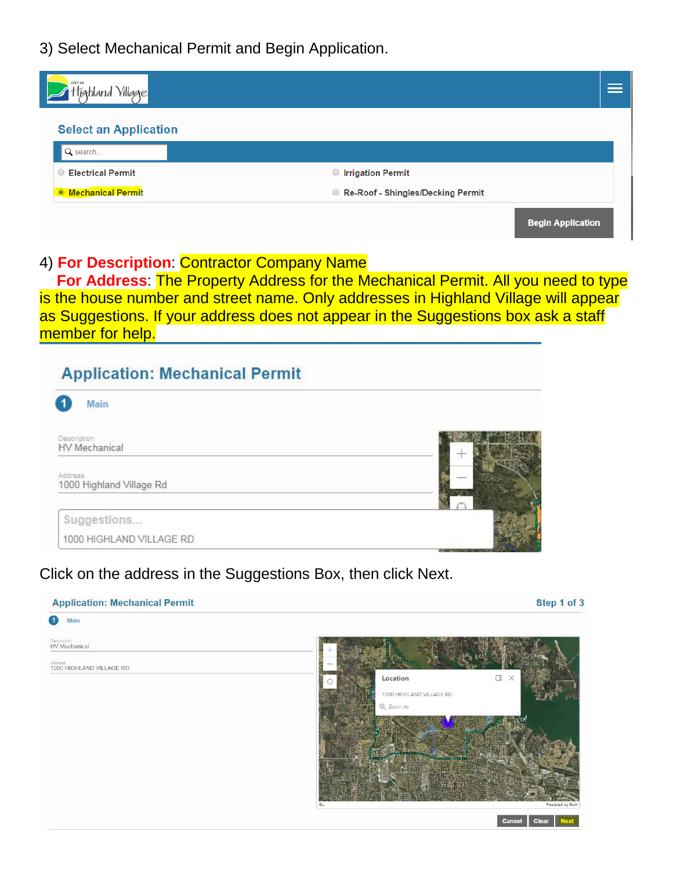3) Select Mechanical Permit and Begin Application.

| CITY OF<br>Village                  |                                   |                          |
|-------------------------------------|-----------------------------------|--------------------------|
| <b>Select an Application</b>        |                                   |                          |
| Q search                            |                                   |                          |
| <b>Electrical Permit</b><br>$\circ$ | <b>O</b> Irrigation Permit        |                          |
| <b>Mechanical Permit</b>            | Re-Roof - Shingles/Decking Permit |                          |
|                                     |                                   | <b>Begin Application</b> |

## 4) **For Description**: Contractor Company Name

 **For Address**: The Property Address for the Mechanical Permit. All you need to type is the house number and street name. Only addresses in Highland Village will appear as Suggestions. If your address does not appear in the Suggestions box ask a staff member for help.

| Main                                                               |  |
|--------------------------------------------------------------------|--|
| Description<br>HV Mechanical                                       |  |
| Address<br>Sales - Madina Sales - Paul<br>1000 Highland Village Rd |  |
| Suggestions                                                        |  |
| 1000 HIGHLAND VILLAGE RD                                           |  |

Click on the address in the Suggestions Box, then click Next.

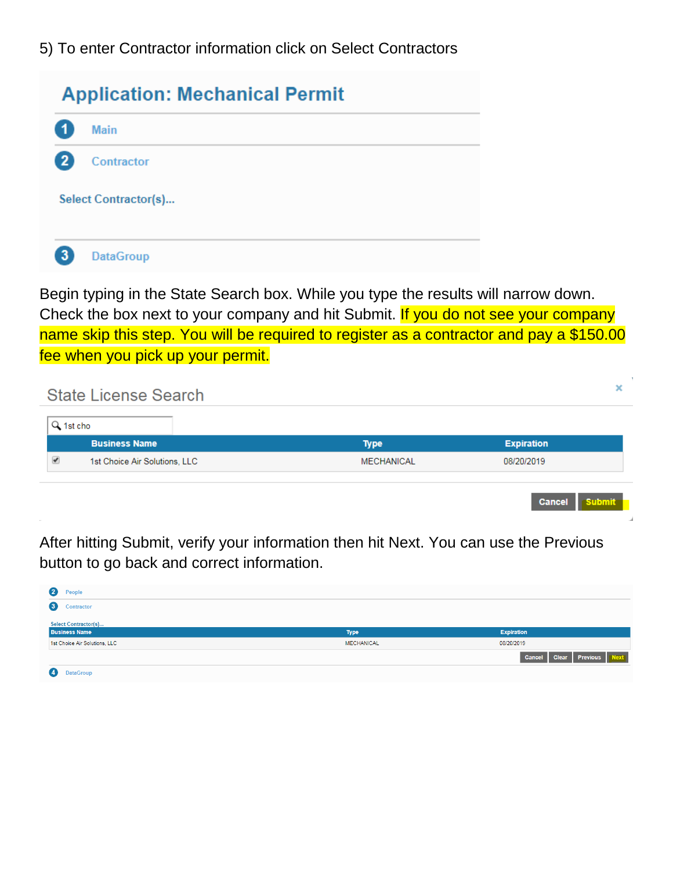5) To enter Contractor information click on Select Contractors

| <b>Application: Mechanical Permit</b> |                      |  |
|---------------------------------------|----------------------|--|
|                                       | <b>Main</b>          |  |
|                                       | Contractor           |  |
|                                       | Select Contractor(s) |  |
| з                                     | <b>DataGroup</b>     |  |

Begin typing in the State Search box. While you type the results will narrow down. Check the box next to your company and hit Submit. If you do not see your company name skip this step. You will be required to register as a contractor and pay a \$150.00 fee when you pick up your permit.

|           | <b>State License Search</b>   |                   | ×                              |
|-----------|-------------------------------|-------------------|--------------------------------|
| Q 1st cho |                               |                   |                                |
|           | <b>Business Name</b>          | <b>Type</b>       | <b>Expiration</b>              |
| ✔         | 1st Choice Air Solutions, LLC | <b>MECHANICAL</b> | 08/20/2019                     |
|           |                               |                   | <b>Submit</b><br><b>Cancel</b> |

After hitting Submit, verify your information then hit Next. You can use the Previous button to go back and correct information.

| $\bf{c}$<br>People            |                   |                                      |
|-------------------------------|-------------------|--------------------------------------|
| $\boxed{3}$<br>Contractor     |                   |                                      |
| Select Contractor(s)          |                   |                                      |
| <b>Business Name</b>          | <b>Type</b>       | <b>Expiration</b>                    |
| 1st Choice Air Solutions, LLC | <b>MECHANICAL</b> | 08/20/2019                           |
|                               |                   | <b>Clear</b> Previous Next<br>Cancel |
| <b>4</b><br>DataGroui         |                   |                                      |